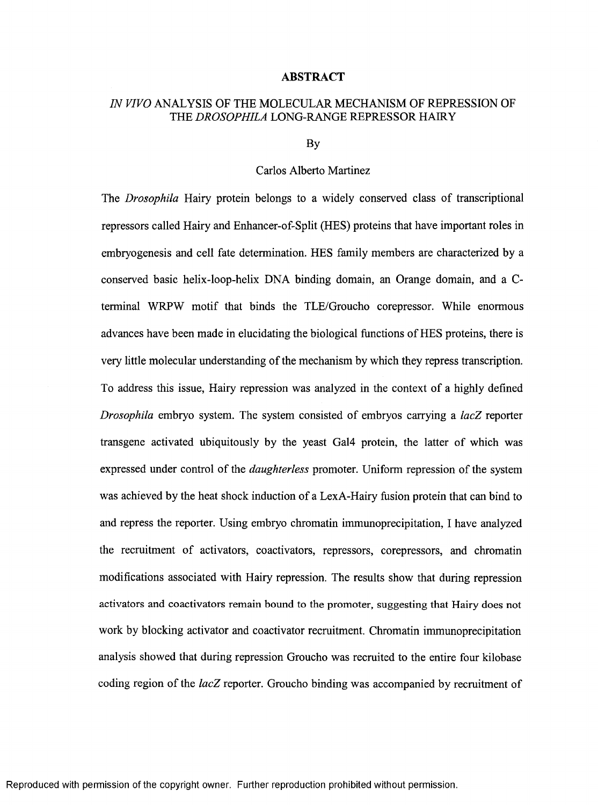## **ABSTRACT**

## *IN VIVO* ANALYSIS OF THE MOLECULAR MECHANISM OF REPRESSION OF THE *DROSOPHILA* LONG-RANGE REPRESSOR HAIRY

By

## Carlos Alberto Martinez

The *Drosophila* Hairy protein belongs to a widely conserved class of transcriptional repressors called Hairy and Enhancer-of-Split (HES) proteins that have important roles in embryogenesis and cell fate determination. HES family members are characterized by a conserved basic helix-loop-helix DNA binding domain, an Orange domain, and a Cterminal WRPW motif that binds the TLE/Groucho corepressor. While enormous advances have been made in elucidating the biological functions of HES proteins, there is very little molecular understanding of the mechanism by which they repress transcription. To address this issue, Hairy repression was analyzed in the context of a highly defined *Drosophila* embryo system. The system consisted of embryos carrying a *lacZ* reporter transgene activated ubiquitously by the yeast Gal4 protein, the latter of which was expressed under control of the *daughterless* promoter. Uniform repression of the system was achieved by the heat shock induction of a LexA-Hairy fusion protein that can bind to and repress the reporter. Using embryo chromatin immunoprecipitation, I have analyzed the recruitment of activators, coactivators, repressors, corepressors, and chromatin modifications associated with Hairy repression. The results show that during repression **activators and coactivators remain bound to the promoter, suggesting that Hairy does not** work by blocking activator and coactivator recruitment. Chromatin immunoprecipitation analysis showed that during repression Groucho was recruited to the entire four kilobase coding region of the *lacZ* reporter. Groucho binding was accompanied by recruitment of